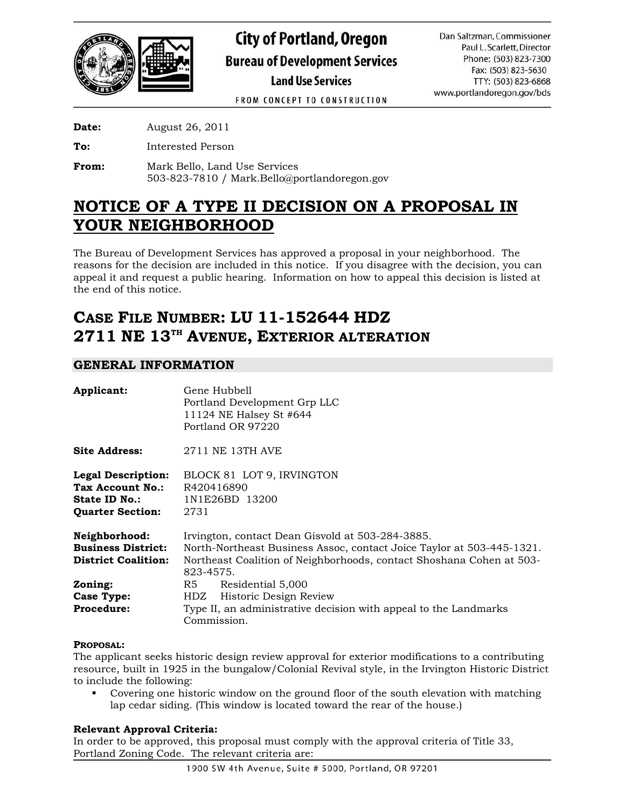

FROM CONCEPT TO CONSTRUCTION

**Date:** August 26, 2011

**To:** Interested Person

**From:** Mark Bello, Land Use Services 503-823-7810 / Mark.Bello@portlandoregon.gov

# **NOTICE OF A TYPE II DECISION ON A PROPOSAL IN YOUR NEIGHBORHOOD**

The Bureau of Development Services has approved a proposal in your neighborhood. The reasons for the decision are included in this notice. If you disagree with the decision, you can appeal it and request a public hearing. Information on how to appeal this decision is listed at the end of this notice.

# **CASE FILE NUMBER: LU 11-152644 HDZ 2711 NE 13TH AVENUE, EXTERIOR ALTERATION**

# **GENERAL INFORMATION**

| Applicant:                                                                                              | Gene Hubbell<br>Portland Development Grp LLC<br>11124 NE Halsey St #644<br>Portland OR 97220                                                                                                                   |  |
|---------------------------------------------------------------------------------------------------------|----------------------------------------------------------------------------------------------------------------------------------------------------------------------------------------------------------------|--|
| <b>Site Address:</b>                                                                                    | 2711 NE 13TH AVE                                                                                                                                                                                               |  |
| <b>Legal Description:</b><br><b>Tax Account No.:</b><br><b>State ID No.:</b><br><b>Quarter Section:</b> | BLOCK 81 LOT 9, IRVINGTON<br>R420416890<br>1N1E26BD 13200<br>2731                                                                                                                                              |  |
| Neighborhood:<br><b>Business District:</b><br><b>District Coalition:</b>                                | Irvington, contact Dean Gisvold at 503-284-3885.<br>North-Northeast Business Assoc, contact Joice Taylor at 503-445-1321.<br>Northeast Coalition of Neighborhoods, contact Shoshana Cohen at 503-<br>823-4575. |  |
| Zoning:<br><b>Case Type:</b><br><b>Procedure:</b>                                                       | R5<br>Residential 5,000<br>HDZ Historic Design Review<br>Type II, an administrative decision with appeal to the Landmarks<br>Commission.                                                                       |  |

## **PROPOSAL:**

The applicant seeks historic design review approval for exterior modifications to a contributing resource, built in 1925 in the bungalow/Colonial Revival style, in the Irvington Historic District to include the following:

 Covering one historic window on the ground floor of the south elevation with matching lap cedar siding. (This window is located toward the rear of the house.)

## **Relevant Approval Criteria:**

In order to be approved, this proposal must comply with the approval criteria of Title 33, Portland Zoning Code. The relevant criteria are: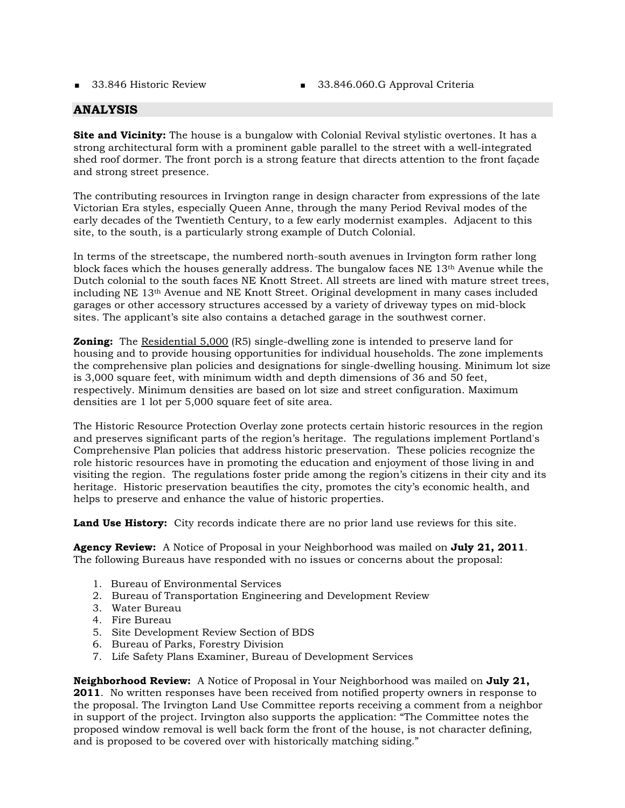- 
- 33.846 Historic Review 33.846.060.G Approval Criteria

# **ANALYSIS**

**Site and Vicinity:** The house is a bungalow with Colonial Revival stylistic overtones. It has a strong architectural form with a prominent gable parallel to the street with a well-integrated shed roof dormer. The front porch is a strong feature that directs attention to the front façade and strong street presence.

The contributing resources in Irvington range in design character from expressions of the late Victorian Era styles, especially Queen Anne, through the many Period Revival modes of the early decades of the Twentieth Century, to a few early modernist examples. Adjacent to this site, to the south, is a particularly strong example of Dutch Colonial.

In terms of the streetscape, the numbered north-south avenues in Irvington form rather long block faces which the houses generally address. The bungalow faces NE 13th Avenue while the Dutch colonial to the south faces NE Knott Street. All streets are lined with mature street trees, including NE 13th Avenue and NE Knott Street. Original development in many cases included garages or other accessory structures accessed by a variety of driveway types on mid-block sites. The applicant's site also contains a detached garage in the southwest corner.

**Zoning:** The Residential 5,000 (R5) single-dwelling zone is intended to preserve land for housing and to provide housing opportunities for individual households. The zone implements the comprehensive plan policies and designations for single-dwelling housing. Minimum lot size is 3,000 square feet, with minimum width and depth dimensions of 36 and 50 feet, respectively. Minimum densities are based on lot size and street configuration. Maximum densities are 1 lot per 5,000 square feet of site area.

The Historic Resource Protection Overlay zone protects certain historic resources in the region and preserves significant parts of the region's heritage. The regulations implement Portland's Comprehensive Plan policies that address historic preservation. These policies recognize the role historic resources have in promoting the education and enjoyment of those living in and visiting the region. The regulations foster pride among the region's citizens in their city and its heritage. Historic preservation beautifies the city, promotes the city's economic health, and helps to preserve and enhance the value of historic properties.

**Land Use History:** City records indicate there are no prior land use reviews for this site.

**Agency Review:** A Notice of Proposal in your Neighborhood was mailed on **July 21, 2011**. The following Bureaus have responded with no issues or concerns about the proposal:

- 1. Bureau of Environmental Services
- 2. Bureau of Transportation Engineering and Development Review
- 3. Water Bureau
- 4. Fire Bureau
- 5. Site Development Review Section of BDS
- 6. Bureau of Parks, Forestry Division
- 7. Life Safety Plans Examiner, Bureau of Development Services

**Neighborhood Review:** A Notice of Proposal in Your Neighborhood was mailed on **July 21, 2011**. No written responses have been received from notified property owners in response to the proposal. The Irvington Land Use Committee reports receiving a comment from a neighbor in support of the project. Irvington also supports the application: "The Committee notes the proposed window removal is well back form the front of the house, is not character defining, and is proposed to be covered over with historically matching siding."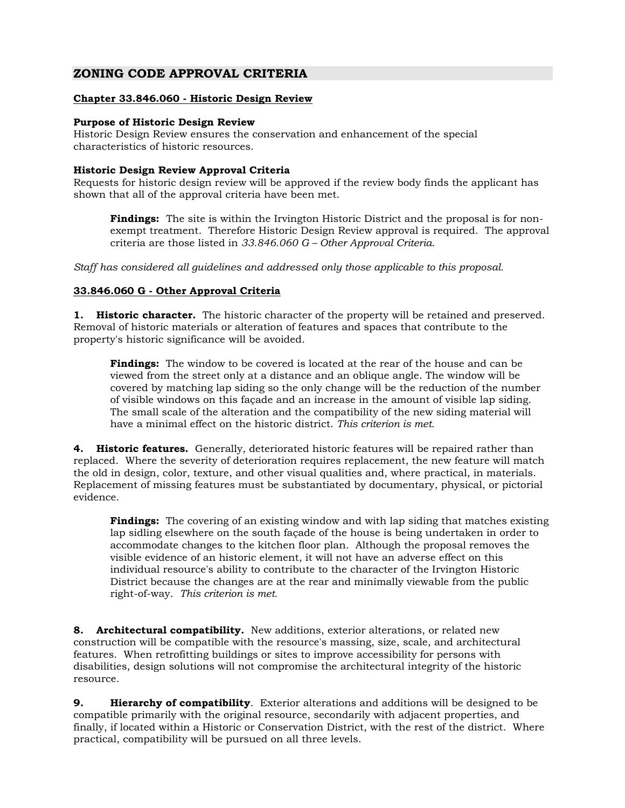# **ZONING CODE APPROVAL CRITERIA**

## **Chapter 33.846.060 - Historic Design Review**

#### **Purpose of Historic Design Review**

Historic Design Review ensures the conservation and enhancement of the special characteristics of historic resources.

#### **Historic Design Review Approval Criteria**

Requests for historic design review will be approved if the review body finds the applicant has shown that all of the approval criteria have been met.

**Findings:** The site is within the Irvington Historic District and the proposal is for nonexempt treatment. Therefore Historic Design Review approval is required. The approval criteria are those listed in *33.846.060 G – Other Approval Criteria*.

*Staff has considered all guidelines and addressed only those applicable to this proposal.* 

## **33.846.060 G - Other Approval Criteria**

**1. Historic character.** The historic character of the property will be retained and preserved. Removal of historic materials or alteration of features and spaces that contribute to the property's historic significance will be avoided.

**Findings:** The window to be covered is located at the rear of the house and can be viewed from the street only at a distance and an oblique angle. The window will be covered by matching lap siding so the only change will be the reduction of the number of visible windows on this façade and an increase in the amount of visible lap siding. The small scale of the alteration and the compatibility of the new siding material will have a minimal effect on the historic district. *This criterion is met.*

**4. Historic features.** Generally, deteriorated historic features will be repaired rather than replaced. Where the severity of deterioration requires replacement, the new feature will match the old in design, color, texture, and other visual qualities and, where practical, in materials. Replacement of missing features must be substantiated by documentary, physical, or pictorial evidence.

**Findings:** The covering of an existing window and with lap siding that matches existing lap sidling elsewhere on the south façade of the house is being undertaken in order to accommodate changes to the kitchen floor plan. Although the proposal removes the visible evidence of an historic element, it will not have an adverse effect on this individual resource's ability to contribute to the character of the Irvington Historic District because the changes are at the rear and minimally viewable from the public right-of-way. *This criterion is met.* 

**8. Architectural compatibility.** New additions, exterior alterations, or related new construction will be compatible with the resource's massing, size, scale, and architectural features. When retrofitting buildings or sites to improve accessibility for persons with disabilities, design solutions will not compromise the architectural integrity of the historic resource.

**9. Hierarchy of compatibility**. Exterior alterations and additions will be designed to be compatible primarily with the original resource, secondarily with adjacent properties, and finally, if located within a Historic or Conservation District, with the rest of the district. Where practical, compatibility will be pursued on all three levels.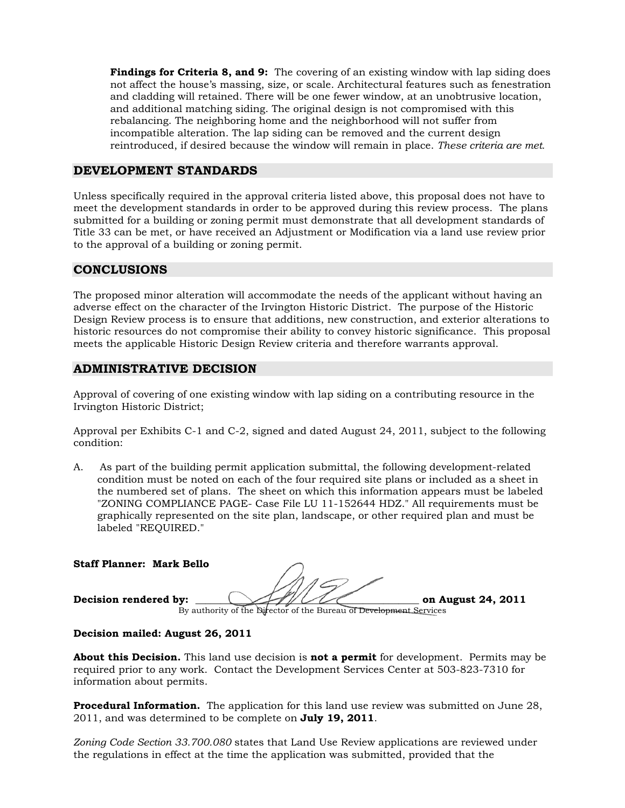**Findings for Criteria 8, and 9:** The covering of an existing window with lap siding does not affect the house's massing, size, or scale. Architectural features such as fenestration and cladding will retained. There will be one fewer window, at an unobtrusive location, and additional matching siding. The original design is not compromised with this rebalancing. The neighboring home and the neighborhood will not suffer from incompatible alteration. The lap siding can be removed and the current design reintroduced, if desired because the window will remain in place. *These criteria are met.*

## **DEVELOPMENT STANDARDS**

Unless specifically required in the approval criteria listed above, this proposal does not have to meet the development standards in order to be approved during this review process. The plans submitted for a building or zoning permit must demonstrate that all development standards of Title 33 can be met, or have received an Adjustment or Modification via a land use review prior to the approval of a building or zoning permit.

# **CONCLUSIONS**

The proposed minor alteration will accommodate the needs of the applicant without having an adverse effect on the character of the Irvington Historic District. The purpose of the Historic Design Review process is to ensure that additions, new construction, and exterior alterations to historic resources do not compromise their ability to convey historic significance. This proposal meets the applicable Historic Design Review criteria and therefore warrants approval.

# **ADMINISTRATIVE DECISION**

Approval of covering of one existing window with lap siding on a contributing resource in the Irvington Historic District;

Approval per Exhibits C-1 and C-2, signed and dated August 24, 2011, subject to the following condition:

A. As part of the building permit application submittal, the following development-related condition must be noted on each of the four required site plans or included as a sheet in the numbered set of plans. The sheet on which this information appears must be labeled "ZONING COMPLIANCE PAGE- Case File LU 11-152644 HDZ." All requirements must be graphically represented on the site plan, landscape, or other required plan and must be labeled "REQUIRED."

| <b>Staff Planner: Mark Bello</b> |                                                                    |                    |
|----------------------------------|--------------------------------------------------------------------|--------------------|
|                                  |                                                                    |                    |
| Decision rendered by:            |                                                                    | on August 24, 2011 |
|                                  | By authority of the Director of the Bureau of Development Services |                    |

#### By authority of the Director of the Bureau of Devel<del>opment S</del>

## **Decision mailed: August 26, 2011**

**About this Decision.** This land use decision is **not a permit** for development. Permits may be required prior to any work. Contact the Development Services Center at 503-823-7310 for information about permits.

**Procedural Information.** The application for this land use review was submitted on June 28, 2011, and was determined to be complete on **July 19, 2011**.

*Zoning Code Section 33.700.080* states that Land Use Review applications are reviewed under the regulations in effect at the time the application was submitted, provided that the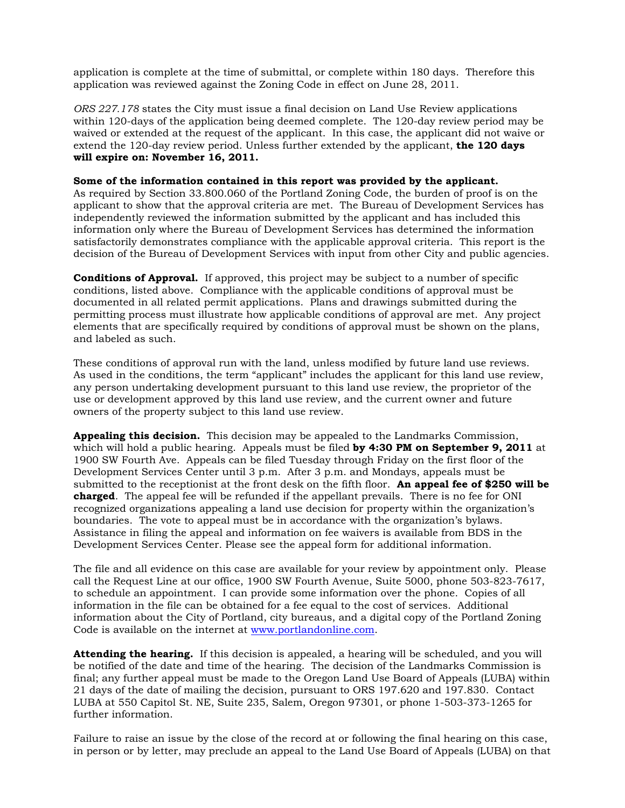application is complete at the time of submittal, or complete within 180 days. Therefore this application was reviewed against the Zoning Code in effect on June 28, 2011.

*ORS 227.178* states the City must issue a final decision on Land Use Review applications within 120-days of the application being deemed complete. The 120-day review period may be waived or extended at the request of the applicant. In this case, the applicant did not waive or extend the 120-day review period. Unless further extended by the applicant, **the 120 days will expire on: November 16, 2011.**

#### **Some of the information contained in this report was provided by the applicant.**

As required by Section 33.800.060 of the Portland Zoning Code, the burden of proof is on the applicant to show that the approval criteria are met. The Bureau of Development Services has independently reviewed the information submitted by the applicant and has included this information only where the Bureau of Development Services has determined the information satisfactorily demonstrates compliance with the applicable approval criteria. This report is the decision of the Bureau of Development Services with input from other City and public agencies.

**Conditions of Approval.** If approved, this project may be subject to a number of specific conditions, listed above. Compliance with the applicable conditions of approval must be documented in all related permit applications. Plans and drawings submitted during the permitting process must illustrate how applicable conditions of approval are met. Any project elements that are specifically required by conditions of approval must be shown on the plans, and labeled as such.

These conditions of approval run with the land, unless modified by future land use reviews. As used in the conditions, the term "applicant" includes the applicant for this land use review, any person undertaking development pursuant to this land use review, the proprietor of the use or development approved by this land use review, and the current owner and future owners of the property subject to this land use review.

**Appealing this decision.** This decision may be appealed to the Landmarks Commission, which will hold a public hearing. Appeals must be filed **by 4:30 PM on September 9, 2011** at 1900 SW Fourth Ave. Appeals can be filed Tuesday through Friday on the first floor of the Development Services Center until 3 p.m. After 3 p.m. and Mondays, appeals must be submitted to the receptionist at the front desk on the fifth floor. **An appeal fee of \$250 will be charged**. The appeal fee will be refunded if the appellant prevails. There is no fee for ONI recognized organizations appealing a land use decision for property within the organization's boundaries. The vote to appeal must be in accordance with the organization's bylaws. Assistance in filing the appeal and information on fee waivers is available from BDS in the Development Services Center. Please see the appeal form for additional information.

The file and all evidence on this case are available for your review by appointment only. Please call the Request Line at our office, 1900 SW Fourth Avenue, Suite 5000, phone 503-823-7617, to schedule an appointment. I can provide some information over the phone. Copies of all information in the file can be obtained for a fee equal to the cost of services. Additional information about the City of Portland, city bureaus, and a digital copy of the Portland Zoning Code is available on the internet at [www.portlandonline.com](http://www.ci.portland.or.us/).

**Attending the hearing.** If this decision is appealed, a hearing will be scheduled, and you will be notified of the date and time of the hearing. The decision of the Landmarks Commission is final; any further appeal must be made to the Oregon Land Use Board of Appeals (LUBA) within 21 days of the date of mailing the decision, pursuant to ORS 197.620 and 197.830. Contact LUBA at 550 Capitol St. NE, Suite 235, Salem, Oregon 97301, or phone 1-503-373-1265 for further information.

Failure to raise an issue by the close of the record at or following the final hearing on this case, in person or by letter, may preclude an appeal to the Land Use Board of Appeals (LUBA) on that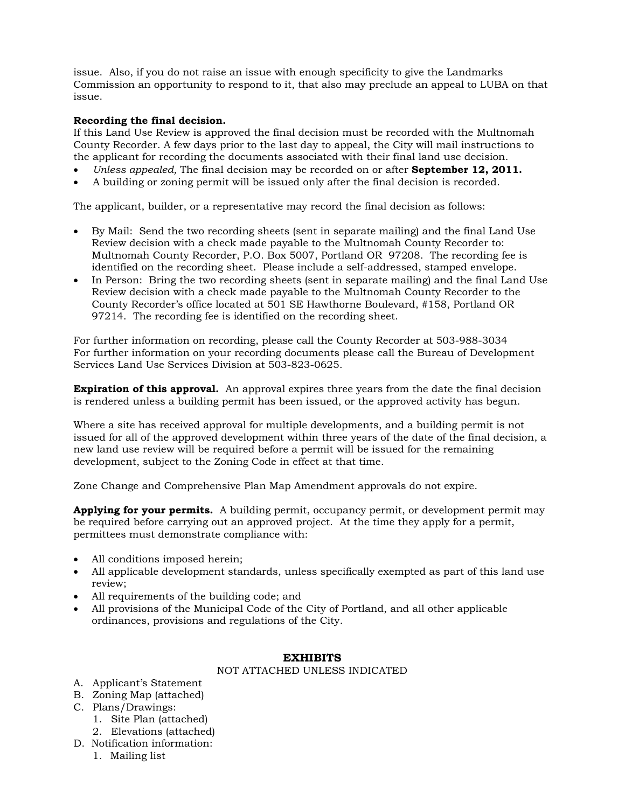issue. Also, if you do not raise an issue with enough specificity to give the Landmarks Commission an opportunity to respond to it, that also may preclude an appeal to LUBA on that issue.

### **Recording the final decision.**

If this Land Use Review is approved the final decision must be recorded with the Multnomah County Recorder. A few days prior to the last day to appeal, the City will mail instructions to the applicant for recording the documents associated with their final land use decision.

- *Unless appealed,* The final decision may be recorded on or after **September 12, 2011.**
- A building or zoning permit will be issued only after the final decision is recorded.

The applicant, builder, or a representative may record the final decision as follows:

- By Mail: Send the two recording sheets (sent in separate mailing) and the final Land Use Review decision with a check made payable to the Multnomah County Recorder to: Multnomah County Recorder, P.O. Box 5007, Portland OR 97208. The recording fee is identified on the recording sheet. Please include a self-addressed, stamped envelope.
- In Person: Bring the two recording sheets (sent in separate mailing) and the final Land Use Review decision with a check made payable to the Multnomah County Recorder to the County Recorder's office located at 501 SE Hawthorne Boulevard, #158, Portland OR 97214. The recording fee is identified on the recording sheet.

For further information on recording, please call the County Recorder at 503-988-3034 For further information on your recording documents please call the Bureau of Development Services Land Use Services Division at 503-823-0625.

**Expiration of this approval.** An approval expires three years from the date the final decision is rendered unless a building permit has been issued, or the approved activity has begun.

Where a site has received approval for multiple developments, and a building permit is not issued for all of the approved development within three years of the date of the final decision, a new land use review will be required before a permit will be issued for the remaining development, subject to the Zoning Code in effect at that time.

Zone Change and Comprehensive Plan Map Amendment approvals do not expire.

**Applying for your permits.** A building permit, occupancy permit, or development permit may be required before carrying out an approved project. At the time they apply for a permit, permittees must demonstrate compliance with:

- All conditions imposed herein;
- All applicable development standards, unless specifically exempted as part of this land use review;
- All requirements of the building code; and
- All provisions of the Municipal Code of the City of Portland, and all other applicable ordinances, provisions and regulations of the City.

#### **EXHIBITS**

#### NOT ATTACHED UNLESS INDICATED

- A. Applicant's Statement
- B. Zoning Map (attached)
- C. Plans/Drawings:
	- 1. Site Plan (attached)
	- 2. Elevations (attached)
- D. Notification information:
	- 1. Mailing list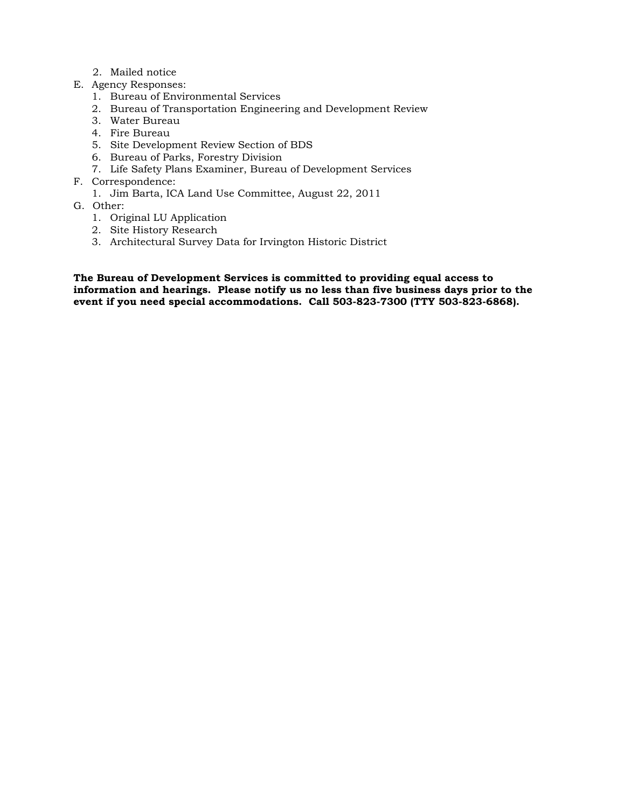- 2. Mailed notice
- E. Agency Responses:
	- 1. Bureau of Environmental Services
	- 2. Bureau of Transportation Engineering and Development Review
	- 3. Water Bureau
	- 4. Fire Bureau
	- 5. Site Development Review Section of BDS
	- 6. Bureau of Parks, Forestry Division
	- 7. Life Safety Plans Examiner, Bureau of Development Services
- F. Correspondence:
	- 1. Jim Barta, ICA Land Use Committee, August 22, 2011
- G. Other:
	- 1. Original LU Application
	- 2. Site History Research
	- 3. Architectural Survey Data for Irvington Historic District

**The Bureau of Development Services is committed to providing equal access to information and hearings. Please notify us no less than five business days prior to the event if you need special accommodations. Call 503-823-7300 (TTY 503-823-6868).**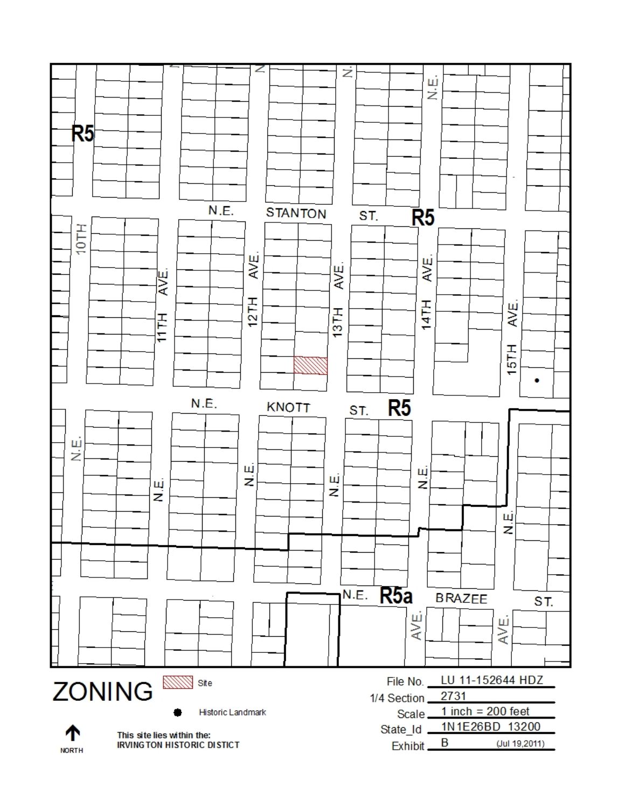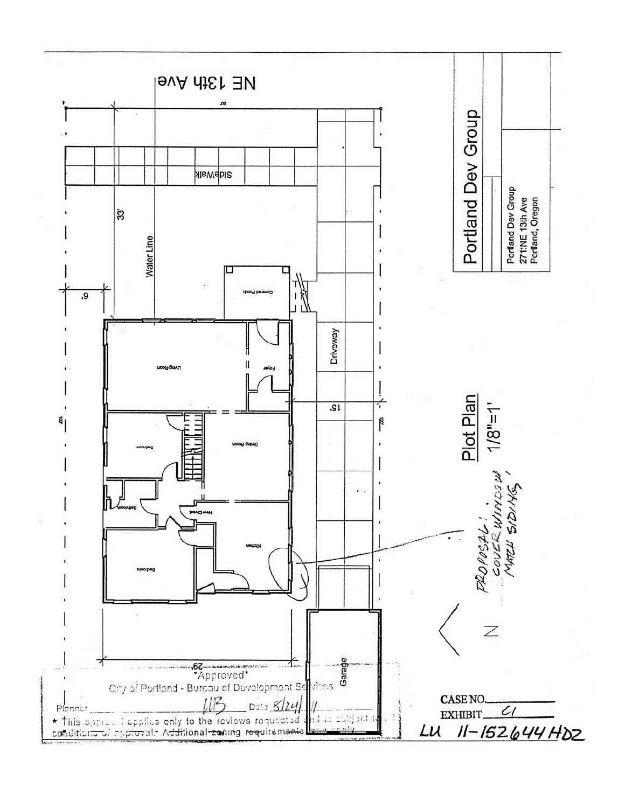